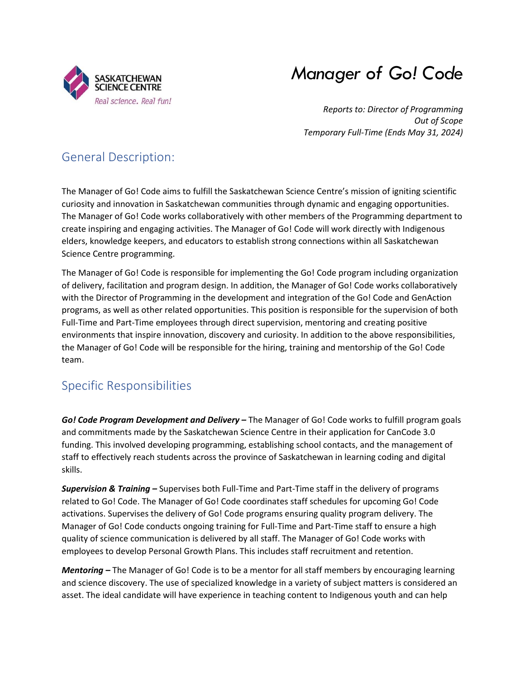

# *Manager of Go! Code*

*Reports to: Director of Programming Out of Scope Temporary Full-Time (Ends May 31, 2024)*

## General Description:

The Manager of Go! Code aims to fulfill the Saskatchewan Science Centre's mission of igniting scientific curiosity and innovation in Saskatchewan communities through dynamic and engaging opportunities. The Manager of Go! Code works collaboratively with other members of the Programming department to create inspiring and engaging activities. The Manager of Go! Code will work directly with Indigenous elders, knowledge keepers, and educators to establish strong connections within all Saskatchewan Science Centre programming.

The Manager of Go! Code is responsible for implementing the Go! Code program including organization of delivery, facilitation and program design. In addition, the Manager of Go! Code works collaboratively with the Director of Programming in the development and integration of the Go! Code and GenAction programs, as well as other related opportunities. This position is responsible for the supervision of both Full-Time and Part-Time employees through direct supervision, mentoring and creating positive environments that inspire innovation, discovery and curiosity. In addition to the above responsibilities, the Manager of Go! Code will be responsible for the hiring, training and mentorship of the Go! Code team.

## Specific Responsibilities

*Go! Code Program Development and Delivery –* The Manager of Go! Code works to fulfill program goals and commitments made by the Saskatchewan Science Centre in their application for CanCode 3.0 funding. This involved developing programming, establishing school contacts, and the management of staff to effectively reach students across the province of Saskatchewan in learning coding and digital skills.

*Supervision & Training –* Supervises both Full-Time and Part-Time staff in the delivery of programs related to Go! Code. The Manager of Go! Code coordinates staff schedules for upcoming Go! Code activations. Supervises the delivery of Go! Code programs ensuring quality program delivery. The Manager of Go! Code conducts ongoing training for Full-Time and Part-Time staff to ensure a high quality of science communication is delivered by all staff. The Manager of Go! Code works with employees to develop Personal Growth Plans. This includes staff recruitment and retention.

*Mentoring –* The Manager of Go! Code is to be a mentor for all staff members by encouraging learning and science discovery. The use of specialized knowledge in a variety of subject matters is considered an asset. The ideal candidate will have experience in teaching content to Indigenous youth and can help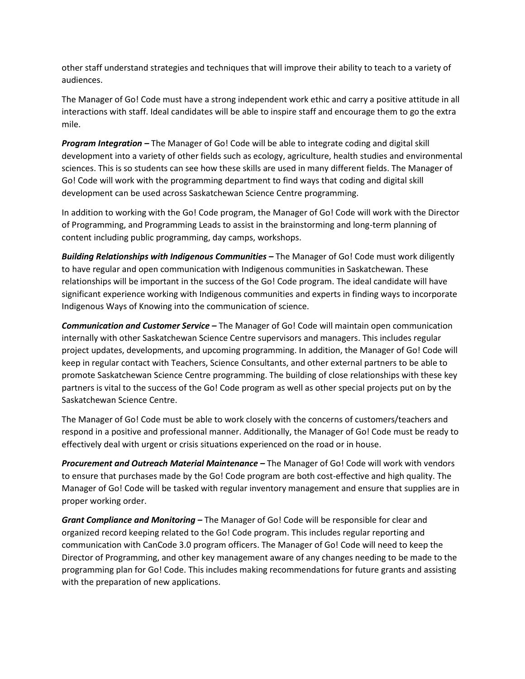other staff understand strategies and techniques that will improve their ability to teach to a variety of audiences.

The Manager of Go! Code must have a strong independent work ethic and carry a positive attitude in all interactions with staff. Ideal candidates will be able to inspire staff and encourage them to go the extra mile.

*Program Integration –* The Manager of Go! Code will be able to integrate coding and digital skill development into a variety of other fields such as ecology, agriculture, health studies and environmental sciences. This is so students can see how these skills are used in many different fields. The Manager of Go! Code will work with the programming department to find ways that coding and digital skill development can be used across Saskatchewan Science Centre programming.

In addition to working with the Go! Code program, the Manager of Go! Code will work with the Director of Programming, and Programming Leads to assist in the brainstorming and long-term planning of content including public programming, day camps, workshops.

**Building Relationships with Indigenous Communities – The Manager of Go! Code must work diligently** to have regular and open communication with Indigenous communities in Saskatchewan. These relationships will be important in the success of the Go! Code program. The ideal candidate will have significant experience working with Indigenous communities and experts in finding ways to incorporate Indigenous Ways of Knowing into the communication of science.

*Communication and Customer Service –* The Manager of Go! Code will maintain open communication internally with other Saskatchewan Science Centre supervisors and managers. This includes regular project updates, developments, and upcoming programming. In addition, the Manager of Go! Code will keep in regular contact with Teachers, Science Consultants, and other external partners to be able to promote Saskatchewan Science Centre programming. The building of close relationships with these key partners is vital to the success of the Go! Code program as well as other special projects put on by the Saskatchewan Science Centre.

The Manager of Go! Code must be able to work closely with the concerns of customers/teachers and respond in a positive and professional manner. Additionally, the Manager of Go! Code must be ready to effectively deal with urgent or crisis situations experienced on the road or in house.

**Procurement and Outreach Material Maintenance –** The Manager of Go! Code will work with vendors to ensure that purchases made by the Go! Code program are both cost-effective and high quality. The Manager of Go! Code will be tasked with regular inventory management and ensure that supplies are in proper working order.

*Grant Compliance and Monitoring –* The Manager of Go! Code will be responsible for clear and organized record keeping related to the Go! Code program. This includes regular reporting and communication with CanCode 3.0 program officers. The Manager of Go! Code will need to keep the Director of Programming, and other key management aware of any changes needing to be made to the programming plan for Go! Code. This includes making recommendations for future grants and assisting with the preparation of new applications.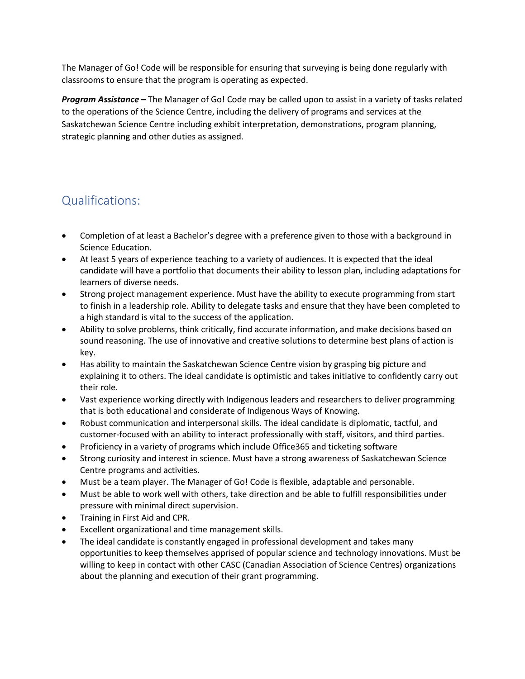The Manager of Go! Code will be responsible for ensuring that surveying is being done regularly with classrooms to ensure that the program is operating as expected.

*Program Assistance –* The Manager of Go! Code may be called upon to assist in a variety of tasks related to the operations of the Science Centre, including the delivery of programs and services at the Saskatchewan Science Centre including exhibit interpretation, demonstrations, program planning, strategic planning and other duties as assigned.

#### Qualifications:

- Completion of at least a Bachelor's degree with a preference given to those with a background in Science Education.
- At least 5 years of experience teaching to a variety of audiences. It is expected that the ideal candidate will have a portfolio that documents their ability to lesson plan, including adaptations for learners of diverse needs.
- Strong project management experience. Must have the ability to execute programming from start to finish in a leadership role. Ability to delegate tasks and ensure that they have been completed to a high standard is vital to the success of the application.
- Ability to solve problems, think critically, find accurate information, and make decisions based on sound reasoning. The use of innovative and creative solutions to determine best plans of action is key.
- Has ability to maintain the Saskatchewan Science Centre vision by grasping big picture and explaining it to others. The ideal candidate is optimistic and takes initiative to confidently carry out their role.
- Vast experience working directly with Indigenous leaders and researchers to deliver programming that is both educational and considerate of Indigenous Ways of Knowing.
- Robust communication and interpersonal skills. The ideal candidate is diplomatic, tactful, and customer-focused with an ability to interact professionally with staff, visitors, and third parties.
- Proficiency in a variety of programs which include Office365 and ticketing software
- Strong curiosity and interest in science. Must have a strong awareness of Saskatchewan Science Centre programs and activities.
- Must be a team player. The Manager of Go! Code is flexible, adaptable and personable.
- Must be able to work well with others, take direction and be able to fulfill responsibilities under pressure with minimal direct supervision.
- Training in First Aid and CPR.
- Excellent organizational and time management skills.
- The ideal candidate is constantly engaged in professional development and takes many opportunities to keep themselves apprised of popular science and technology innovations. Must be willing to keep in contact with other CASC (Canadian Association of Science Centres) organizations about the planning and execution of their grant programming.